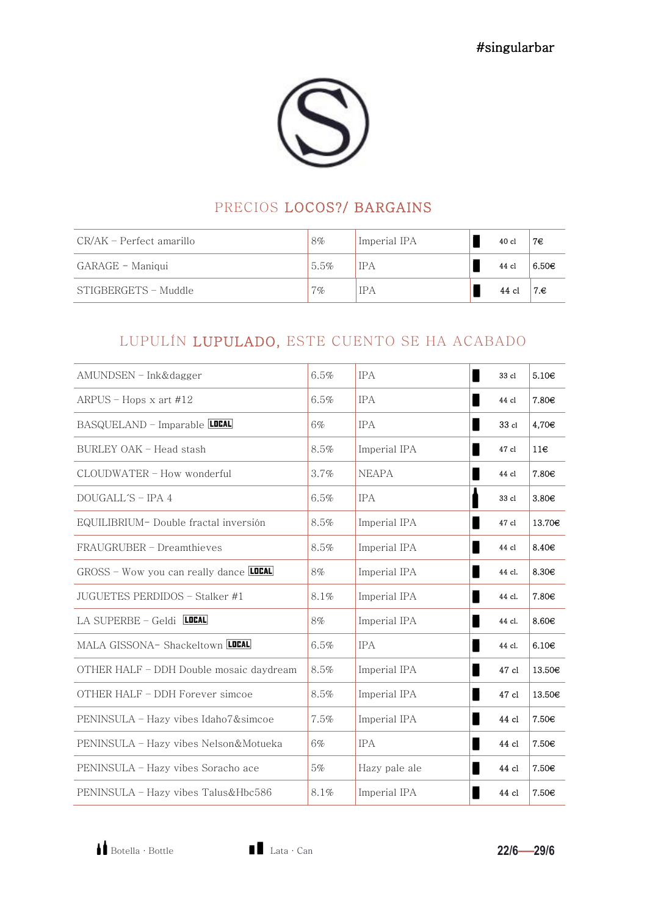#### PRECIOS LOCOS?/ BARGAINS

| CR/AK – Perfect amarillo | $8\%$ | Imperial IPA | $40$ cl | 7€                |
|--------------------------|-------|--------------|---------|-------------------|
| GARAGE - Maniqui         | 5.5%  | <b>IPA</b>   | 44 cl   | 6.50 <sub>€</sub> |
| STIGBERGETS - Muddle     | $7\%$ | <b>IPA</b>   | 44 cl   | 7.€               |

## LUPULÍN LUPULADO, ESTE CUENTO SE HA ACABADO

| $AMUNDSEN - Ink\†$                            | 6.5% | <b>IPA</b>    | 33 cl  | 5.10 <sub>€</sub>  |
|-----------------------------------------------|------|---------------|--------|--------------------|
| ARPUS – Hops x art $#12$                      | 6.5% | <b>IPA</b>    | 44 cl  | 7.80€              |
| BASQUELAND - Imparable LOCAL                  | 6%   | <b>IPA</b>    | 33 cl  | 4,70€              |
| BURLEY OAK - Head stash                       | 8.5% | Imperial IPA  | 47 cl  | $11\varepsilon$    |
| CLOUDWATER - How wonderful                    | 3.7% | <b>NEAPA</b>  | 44 cl  | 7.80€              |
| $DOLIGALL'S = IPA 4$                          | 6.5% | <b>IPA</b>    | 33 cl  | 3.80 <sub>€</sub>  |
| EQUILIBRIUM- Double fractal inversión         | 8.5% | Imperial IPA  | 47 cl  | 13.70€             |
| FRAUGRUBER - Dreamthieves                     | 8.5% | Imperial IPA  | 44 cl  | 8.40€              |
| GROSS - Wow you can really dance <b>LOCAL</b> | 8%   | Imperial IPA  | 44 cl. | 8.30€              |
| JUGUETES PERDIDOS - Stalker #1                | 8.1% | Imperial IPA  | 44 cl. | 7.80€              |
| LA SUPERBE - Geldi LOCAL                      | 8%   | Imperial IPA  | 44 cl. | 8.60€              |
| MALA GISSONA- Shackeltown LOCAL               | 6.5% | <b>IPA</b>    | 44 cl. | 6.10 <sub>€</sub>  |
| OTHER HALF - DDH Double mosaic daydream       | 8.5% | Imperial IPA  | 47 cl  | 13.50 <sub>€</sub> |
| OTHER HALF - DDH Forever simcoe               | 8.5% | Imperial IPA  | 47 cl  | 13.50€             |
| PENINSULA – Hazy vibes Idaho7&simcoe          | 7.5% | Imperial IPA  | 44 cl  | 7.50€              |
| PENINSULA - Hazy vibes Nelson&Motueka         | 6%   | <b>IPA</b>    | 44 cl  | 7.50€              |
| PENINSULA - Hazy vibes Soracho ace            | 5%   | Hazy pale ale | 44 cl  | 7.50€              |
| PENINSULA - Hazy vibes Talus&Hbc586           | 8.1% | Imperial IPA  | 44 cl  | 7.50€              |

Botella · Bottle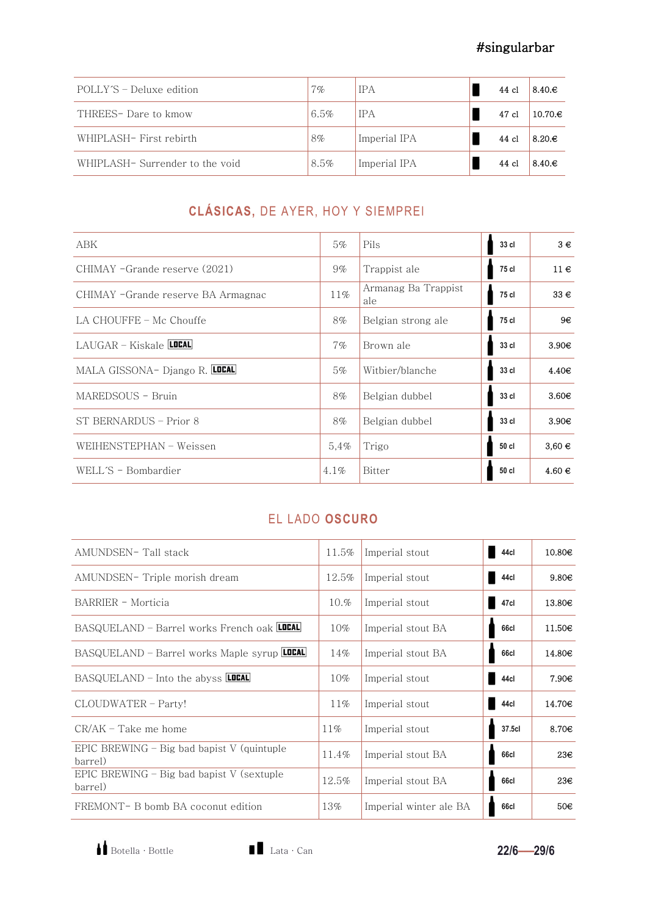| POLLY'S - Deluxe edition       | $7\%$ | <b>IPA</b>   | 44 cl   | $8.40 \text{E}$  |
|--------------------------------|-------|--------------|---------|------------------|
| THREES- Dare to kmow           | 6.5%  | <b>IPA</b>   | 47 cl   | $10.70 \text{E}$ |
| WHIPLASH- First rebirth        | 8%    | Imperial IPA | 44 cl   | $8.20 \text{E}$  |
| WHIPLASH-Surrender to the void | 8.5%  | Imperial IPA | $44$ cl | $8.40 \text{E}$  |

# CLÁSICAS, DE AYER, HOY Y SIEMPREI

| ABK                                | 5%      | Pils                       | 33 cl | $3 \in$           |
|------------------------------------|---------|----------------------------|-------|-------------------|
| CHIMAY -Grande reserve (2021)      | $9\%$   | Trappist ale               | 75 cl | $11 \in$          |
| CHIMAY -Grande reserve BA Armagnac | 11%     | Armanag Ba Trappist<br>ale | 75 cl | $33 \in$          |
| LA CHOUFFE – Mc Chouffe            | 8%      | Belgian strong ale         | 75 cl | 9€                |
| LAUGAR – Kiskale <b>LOCAL</b>      | $7\%$   | Brown ale                  | 33 cl | 3.90 <sub>€</sub> |
| MALA GISSONA- Django R. LOCAL      | 5%      | Witbier/blanche            | 33 cl | 4.40 <sub>€</sub> |
| MAREDSOUS - Bruin                  | $8\%$   | Belgian dubbel             | 33 cl | 3.60 <sub>€</sub> |
| ST BERNARDUS - Prior 8             | 8%      | Belgian dubbel             | 33 cl | 3.90 <sub>€</sub> |
| WEIHENSTEPHAN - Weissen            | 5,4%    | Trigo                      | 50 cl | $3,60 \in$        |
| WELL'S - Bombardier                | $4.1\%$ | Bitter                     | 50 cl | $4.60 \in$        |

#### EL LADO OSCURO

| AMUNDSEN-Tall stack                                     | 11.5%  | Imperial stout         | 44cl   | 10.80€            |
|---------------------------------------------------------|--------|------------------------|--------|-------------------|
| AMUNDSEN- Triple morish dream                           | 12.5%  | Imperial stout         | 44cl   | 9.80 <sub>€</sub> |
| BARRIER - Morticia                                      | 10.%   | Imperial stout         | 47cl   | 13.80€            |
| BASQUELAND - Barrel works French oak LOCAL              | $10\%$ | Imperial stout BA      | 66cl   | $11.50\epsilon$   |
| BASQUELAND - Barrel works Maple syrup LOCAL             | 14%    | Imperial stout BA      | 66cl   | 14.80€            |
| BASQUELAND – Into the abyss <b>LOCAL</b>                | $10\%$ | Imperial stout         | 44cl   | 7.90€             |
| CLOUDWATER - Party!                                     | $11\%$ | Imperial stout         | 44cl   | 14.70€            |
| $CR/AK$ – Take me home                                  | $11\%$ | Imperial stout         | 37.5cl | 8.70€             |
| EPIC BREWING $-$ Big bad bapist V (quintuple<br>barrel) | 11.4%  | Imperial stout BA      | 66cl   | 23 <sup>e</sup>   |
| EPIC BREWING $-$ Big bad bapist V (sextuple<br>barrel)  | 12.5%  | Imperial stout BA      | 66cl   | 23€               |
| FREMONT- B bomb BA coconut edition                      | 13%    | Imperial winter ale BA | 66cl   | 50€               |

Botella · Bottle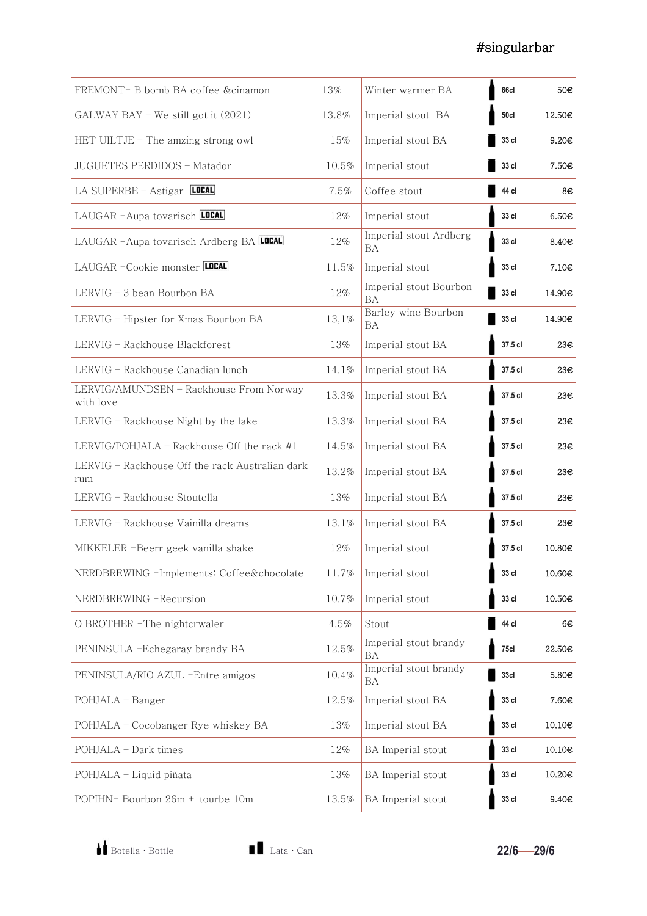| FREMONT- B bomb BA coffee & cinamon                    | 13%   | Winter warmer BA                    | 66cl             | 50€               |
|--------------------------------------------------------|-------|-------------------------------------|------------------|-------------------|
| $GALWAY BAY - We still got it (2021)$                  | 13.8% | Imperial stout BA                   | 50cl             | 12.50€            |
| HET UILTJE - The amzing strong owl                     | 15%   | Imperial stout BA                   | 33 cl            | $9.20 \in$        |
| JUGUETES PERDIDOS - Matador                            | 10.5% | Imperial stout                      | 33 cl            | 7.50€             |
| LA SUPERBE - Astigar LOCAL                             | 7.5%  | Coffee stout                        | 44 cl            | 8€                |
| LAUGAR - Aupa tovarisch                                | 12%   | Imperial stout                      | 33 cl            | 6.50 <sub>€</sub> |
| LAUGAR -Aupa tovarisch Ardberg BA LUCAL                | 12%   | Imperial stout Ardberg<br>BA        | 33 cl            | 8.40 <sub>€</sub> |
| LAUGAR -Cookie monster LOCAL                           | 11.5% | Imperial stout                      | 33 cl            | 7.10 <sub>€</sub> |
| $LERVIG - 3$ bean Bourbon BA                           | 12%   | Imperial stout Bourbon<br><b>BA</b> | 33 cl            | 14.90€            |
| LERVIG - Hipster for Xmas Bourbon BA                   | 13,1% | Barley wine Bourbon<br>BA           | 33 cl            | 14.90€            |
| LERVIG - Rackhouse Blackforest                         | 13%   | Imperial stout BA                   | 37.5 cl          | 23€               |
| LERVIG - Rackhouse Canadian lunch                      | 14.1% | Imperial stout BA                   | 37.5 cl          | 23€               |
| LERVIG/AMUNDSEN - Rackhouse From Norway<br>with love   | 13.3% | Imperial stout BA                   | 37.5 cl          | 23€               |
| LERVIG - Rackhouse Night by the lake                   | 13.3% | Imperial stout BA                   | 37.5 cl          | 23€               |
| LERVIG/POHJALA – Rackhouse Off the rack $#1$           | 14.5% | Imperial stout BA                   | 37.5 cl          | 23€               |
| LERVIG - Rackhouse Off the rack Australian dark<br>rum | 13.2% | Imperial stout BA                   | 37.5 cl          | 23€               |
| LERVIG - Rackhouse Stoutella                           | 13%   | Imperial stout BA                   | 37.5 cl          | 23€               |
| LERVIG - Rackhouse Vainilla dreams                     | 13.1% | Imperial stout BA                   | 37.5 cl          | 23€               |
| MIKKELER -Beerr geek vanilla shake                     | 12%   | Imperial stout                      | 37.5 cl          | 10.80€            |
| NERDBREWING -Implements: Coffee&chocolate              | 11.7% | Imperial stout                      | 33 cl            | 10.60€            |
| NERDBREWING -Recursion                                 | 10.7% | Imperial stout                      | 33 cl            | 10.50€            |
| O BROTHER - The nightcrwaler                           | 4.5%  | Stout                               | 44 cl            | 6€                |
| PENINSULA -Echegaray brandy BA                         | 12.5% | Imperial stout brandy<br>BA         | 75cl             | 22.50€            |
| PENINSULA/RIO AZUL -Entre amigos                       | 10.4% | Imperial stout brandy<br>BA         | 33 <sub>cl</sub> | 5.80€             |
| POHJALA - Banger                                       | 12.5% | Imperial stout BA                   | 33 cl            | 7.60€             |
| POHJALA - Cocobanger Rye whiskey BA                    | 13%   | Imperial stout BA                   | 33 cl            | 10.10€            |
| POHJALA - Dark times                                   | 12%   | BA Imperial stout                   | 33 cl            | 10.10€            |
| POHJALA - Liquid piñata                                | 13%   | BA Imperial stout                   | 33 cl            | 10.20€            |
| POPIHN- Bourbon 26m + tourbe 10m                       | 13.5% | BA Imperial stout                   | 33 cl            | 9.40 <sub>€</sub> |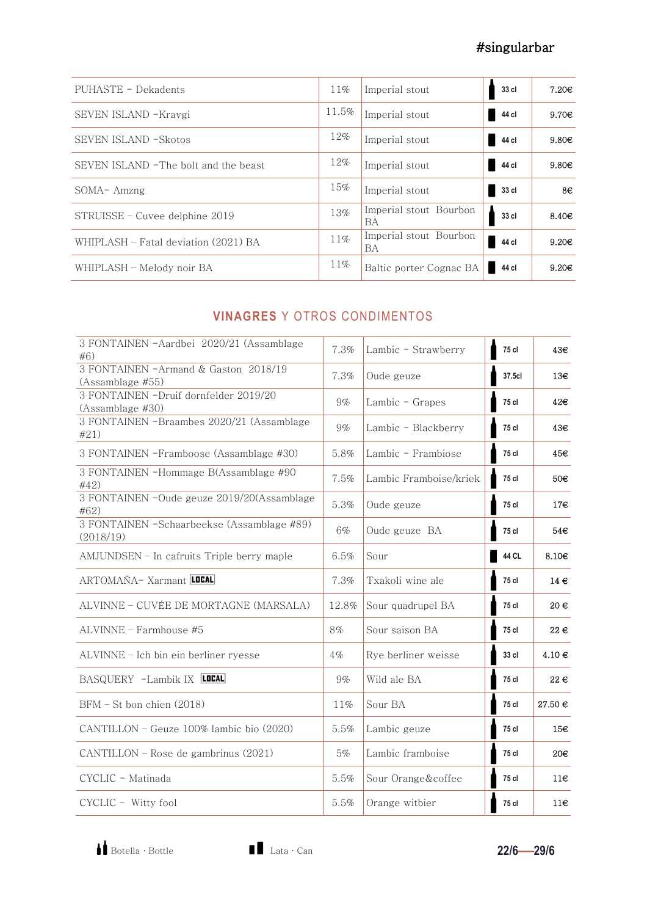| PUHASTE - Dekadents                   | $11\%$ | Imperial stout               | 33 cl | 7.20 <sub>€</sub> |
|---------------------------------------|--------|------------------------------|-------|-------------------|
| SEVEN ISLAND -Kravgi                  | 11.5%  | Imperial stout               | 44 cl | 9.70 <sub>€</sub> |
| SEVEN ISLAND - Skotos                 | 12%    | Imperial stout               | 44 cl | 9.80 <sub>€</sub> |
| SEVEN ISLAND - The bolt and the beast | 12%    | Imperial stout               | 44 cl | 9.80 <sub>€</sub> |
| $SOMA-Amzng$                          | 15%    | Imperial stout               | 33 cl | 8€                |
| STRUISSE – Cuvee delphine 2019        | 13%    | Imperial stout Bourbon<br>BA | 33 cl | 8.40 <sub>€</sub> |
| WHIPLASH – Fatal deviation (2021) BA  | $11\%$ | Imperial stout Bourbon<br>BA | 44 cl | $9.20 \epsilon$   |
| WHIPLASH - Melody noir BA             | 11%    | Baltic porter Cognac BA      | 44 cl | $9.20 \epsilon$   |

#### **VINAGRES** Y OTROS CONDIMENTOS

| 3 FONTAINEN - Aardbei 2020/21 (Assamblage<br>#6)          | 7.3%  | Lambic - Strawberry    | 75 cl  | 43€               |
|-----------------------------------------------------------|-------|------------------------|--------|-------------------|
| 3 FONTAINEN -Armand & Gaston 2018/19<br>(Assamblage #55)  | 7.3%  | Oude geuze             | 37.5cl | 13€               |
| 3 FONTAINEN -Druif dornfelder 2019/20<br>(Assamblage #30) | $9\%$ | Lambic - Grapes        | 75 cl  | 42€               |
| 3 FONTAINEN -Braambes 2020/21 (Assamblage<br>#21)         | $9\%$ | Lambic - Blackberry    | 75 cl  | 43€               |
| 3 FONTAINEN -Framboose (Assamblage #30)                   | 5.8%  | Lambic - Frambiose     | 75 cl  | 45€               |
| 3 FONTAINEN -Hommage B(Assamblage #90<br>#42)             | 7.5%  | Lambic Framboise/kriek | 75 cl  | 50€               |
| 3 FONTAINEN -Oude geuze 2019/20(Assamblage<br>#62)        | 5.3%  | Oude geuze             | 75 cl  | 17€               |
| 3 FONTAINEN -Schaarbeekse (Assamblage #89)<br>(2018/19)   | 6%    | Oude geuze BA          | 75 cl  | 54€               |
| AMJUNDSEN - In cafruits Triple berry maple                | 6.5%  | Sour                   | 44 CL  | 8.10 <sub>€</sub> |
| ARTOMAÑA- Xarmant                                         | 7.3%  | Txakoli wine ale       | 75 cl  | $14 \in$          |
| ALVINNE – CUVÉE DE MORTAGNE (MARSALA)                     | 12.8% | Sour quadrupel BA      | 75 cl  | 20€               |
| $ALVINNE = Farmhouse$ #5                                  | 8%    | Sour saison BA         | 75 cl  | 22€               |
| ALVINNE - Ich bin ein berliner ryesse                     | $4\%$ | Rye berliner weisse    | 33 cl  | $4.10 \in$        |
| BASQUERY -Lambik IX LOCAL                                 | $9\%$ | Wild ale BA            | 75 cl  | $22 \in$          |
| $BFM - St$ bon chien $(2018)$                             | 11%   | Sour BA                | 75 cl  | $27.50 \in$       |
| CANTILLON - Geuze 100% lambic bio (2020)                  | 5.5%  | Lambic geuze           | 75 cl  | 15€               |
| CANTILLON – Rose de gambrinus (2021)                      | 5%    | Lambic framboise       | 75 cl  | 20€               |
| CYCLIC - Matinada                                         | 5.5%  | Sour Orange&coffee     | 75 cl  | 11€               |
| CYCLIC - Witty fool                                       | 5.5%  | Orange witbier         | 75 cl  | 11€               |